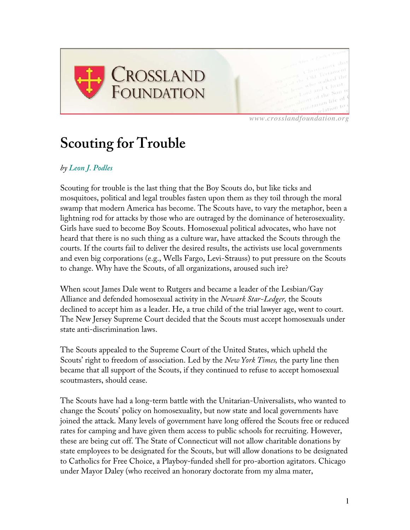

*www.crosslandfoundation.org*

## **Scouting for Trouble**

## *by Leon J. Podles*

Scouting for trouble is the last thing that the Boy Scouts do, but like ticks and mosquitoes, political and legal troubles fasten upon them as they toil through the moral swamp that modern America has become. The Scouts have, to vary the metaphor, been a lightning rod for attacks by those who are outraged by the dominance of heterosexuality. Girls have sued to become Boy Scouts. Homosexual political advocates, who have not heard that there is no such thing as a culture war, have attacked the Scouts through the courts. If the courts fail to deliver the desired results, the activists use local governments and even big corporations (e.g., Wells Fargo, Levi-Strauss) to put pressure on the Scouts to change. Why have the Scouts, of all organizations, aroused such ire?

When scout James Dale went to Rutgers and became a leader of the Lesbian/Gay Alliance and defended homosexual activity in the *Newark Star-Ledger,* the Scouts declined to accept him as a leader. He, a true child of the trial lawyer age, went to court. The New Jersey Supreme Court decided that the Scouts must accept homosexuals under state anti-discrimination laws.

The Scouts appealed to the Supreme Court of the United States, which upheld the Scouts' right to freedom of association. Led by the *New York Times,* the party line then became that all support of the Scouts, if they continued to refuse to accept homosexual scoutmasters, should cease.

The Scouts have had a long-term battle with the Unitarian-Universalists, who wanted to change the Scouts' policy on homosexuality, but now state and local governments have joined the attack. Many levels of government have long offered the Scouts free or reduced rates for camping and have given them access to public schools for recruiting. However, these are being cut off. The State of Connecticut will not allow charitable donations by state employees to be designated for the Scouts, but will allow donations to be designated to Catholics for Free Choice, a Playboy-funded shell for pro-abortion agitators. Chicago under Mayor Daley (who received an honorary doctorate from my alma mater,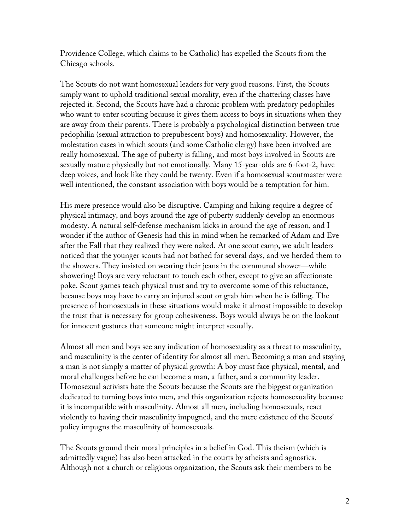Providence College, which claims to be Catholic) has expelled the Scouts from the Chicago schools.

The Scouts do not want homosexual leaders for very good reasons. First, the Scouts simply want to uphold traditional sexual morality, even if the chattering classes have rejected it. Second, the Scouts have had a chronic problem with predatory pedophiles who want to enter scouting because it gives them access to boys in situations when they are away from their parents. There is probably a psychological distinction between true pedophilia (sexual attraction to prepubescent boys) and homosexuality. However, the molestation cases in which scouts (and some Catholic clergy) have been involved are really homosexual. The age of puberty is falling, and most boys involved in Scouts are sexually mature physically but not emotionally. Many 15-year-olds are 6-foot-2, have deep voices, and look like they could be twenty. Even if a homosexual scoutmaster were well intentioned, the constant association with boys would be a temptation for him.

His mere presence would also be disruptive. Camping and hiking require a degree of physical intimacy, and boys around the age of puberty suddenly develop an enormous modesty. A natural self-defense mechanism kicks in around the age of reason, and I wonder if the author of Genesis had this in mind when he remarked of Adam and Eve after the Fall that they realized they were naked. At one scout camp, we adult leaders noticed that the younger scouts had not bathed for several days, and we herded them to the showers. They insisted on wearing their jeans in the communal shower—while showering! Boys are very reluctant to touch each other, except to give an affectionate poke. Scout games teach physical trust and try to overcome some of this reluctance, because boys may have to carry an injured scout or grab him when he is falling. The presence of homosexuals in these situations would make it almost impossible to develop the trust that is necessary for group cohesiveness. Boys would always be on the lookout for innocent gestures that someone might interpret sexually.

Almost all men and boys see any indication of homosexuality as a threat to masculinity, and masculinity is the center of identity for almost all men. Becoming a man and staying a man is not simply a matter of physical growth: A boy must face physical, mental, and moral challenges before he can become a man, a father, and a community leader. Homosexual activists hate the Scouts because the Scouts are the biggest organization dedicated to turning boys into men, and this organization rejects homosexuality because it is incompatible with masculinity. Almost all men, including homosexuals, react violently to having their masculinity impugned, and the mere existence of the Scouts' policy impugns the masculinity of homosexuals.

The Scouts ground their moral principles in a belief in God. This theism (which is admittedly vague) has also been attacked in the courts by atheists and agnostics. Although not a church or religious organization, the Scouts ask their members to be